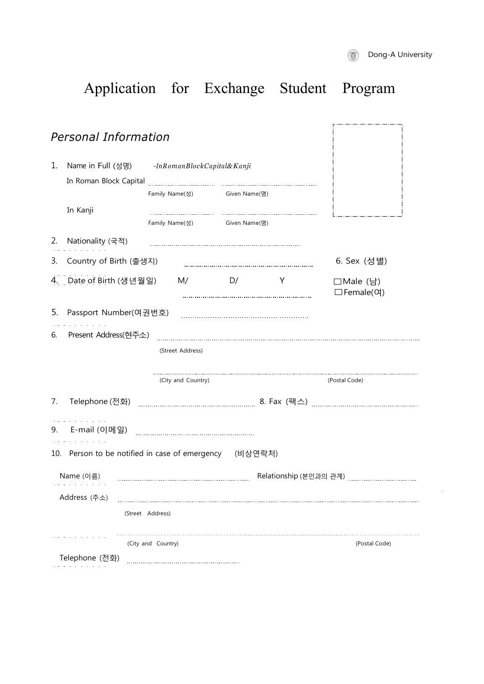$\mathcal{A}$ 

# Application for Exchange Student Program

|    | <b>Personal Information</b>                                                   |                              |               |   |                                           |  |  |  |
|----|-------------------------------------------------------------------------------|------------------------------|---------------|---|-------------------------------------------|--|--|--|
| 1. | Name in Full (성명)<br>-InRomanBlockCapital&Kanji                               |                              |               |   |                                           |  |  |  |
|    | In Roman Block Capital                                                        |                              |               |   |                                           |  |  |  |
|    |                                                                               | Family Name(성)               | Given Name(명) |   |                                           |  |  |  |
|    | In Kanji                                                                      |                              |               |   |                                           |  |  |  |
|    |                                                                               | Family Name(성) Given Name(명) |               |   |                                           |  |  |  |
| 2. | Nationality (국적)                                                              |                              |               |   |                                           |  |  |  |
| 3. | Country of Birth (출생지)                                                        |                              |               |   | 6. Sex (성별)                               |  |  |  |
|    | 4. Date of Birth (생년월일)                                                       | M/                           | D/            | Y | □Male (남)<br>$\square$ Female( $\Theta$ ) |  |  |  |
| 5. | Passport Number(여권번호)                                                         |                              |               |   |                                           |  |  |  |
| 6. | Present Address(현주소)                                                          |                              |               |   |                                           |  |  |  |
|    |                                                                               | (Street Address)             |               |   |                                           |  |  |  |
|    |                                                                               | (City and Country)           |               |   | (Postal Code)                             |  |  |  |
| 7. |                                                                               |                              |               |   |                                           |  |  |  |
| 9. | the company of the company of<br>E-mail (이메일) <sub>……………………………………………………</sub> |                              |               |   |                                           |  |  |  |
|    | 10. Person to be notified in case of emergency (비상연락처)                        |                              |               |   |                                           |  |  |  |
|    | Name (이름)                                                                     |                              |               |   |                                           |  |  |  |
|    | Address (주소)                                                                  |                              |               |   |                                           |  |  |  |
|    |                                                                               | (Street Address)             |               |   |                                           |  |  |  |
|    |                                                                               | (City and Country)           |               |   | (Postal Code)                             |  |  |  |
|    | Telephone (전화)                                                                |                              |               |   |                                           |  |  |  |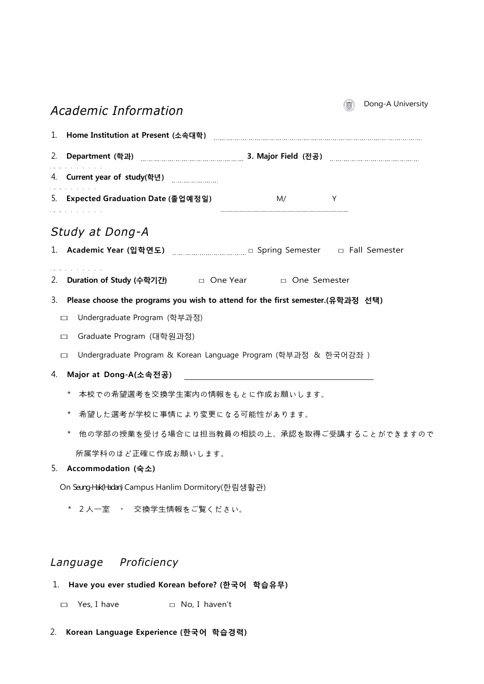| Academic Information                                                              | Dong-A University<br>$\ddot{\text{c}}$ |  |  |  |  |
|-----------------------------------------------------------------------------------|----------------------------------------|--|--|--|--|
|                                                                                   |                                        |  |  |  |  |
| 2.                                                                                |                                        |  |  |  |  |
|                                                                                   |                                        |  |  |  |  |
| 5. Expected Graduation Date (졸업예정일)<br>M/<br>and the contract of the contract of  | Y                                      |  |  |  |  |
| Study at Dong-A                                                                   |                                        |  |  |  |  |
|                                                                                   |                                        |  |  |  |  |
| 2. Duration of Study (수학기간) □ One Year □ One Semester                             |                                        |  |  |  |  |
| 3. Please choose the programs you wish to attend for the first semester.(유학과정 선택) |                                        |  |  |  |  |
| Undergraduate Program (학부과정)<br>$\Box$                                            |                                        |  |  |  |  |
| Graduate Program (대학원과정)<br>$\Box$                                                |                                        |  |  |  |  |
| Undergraduate Program & Korean Language Program (학부과정 & 한국어강좌 )<br>$\Box$         |                                        |  |  |  |  |
| Major at Dong-A(소속전공)<br>4.                                                       |                                        |  |  |  |  |
| 本校での希望選考を交換学生案内の情報をもとに作成お願いします。<br>$\star$                                        |                                        |  |  |  |  |
| 希望した選考が学校に事情により変更になる可能性があります。<br>$\star$                                          |                                        |  |  |  |  |
| 他の学部の授業を受ける場合には担当教員の相談の上、承認を取得ご受講することができますので<br>$^\star$                          |                                        |  |  |  |  |
| 所属学科のほど正確に作成お願いします。                                                               |                                        |  |  |  |  |
| Accommodation (숙소)<br>5.                                                          |                                        |  |  |  |  |
| On Seung-Hak(Hadan) Campus Hanlim Dormitory(한림생활관)                                |                                        |  |  |  |  |
| $\star$<br>2人一室 ・ 交換学生情報をご覧ください。                                                  |                                        |  |  |  |  |
|                                                                                   |                                        |  |  |  |  |
|                                                                                   |                                        |  |  |  |  |

## *Language Proficiency*

- 1. **Have you ever studied Korean before? (한국어 학습유무)**
	- □ Yes, I have □ No, I haven't
- 2. **Korean Language Experience (한국어 학습경력)**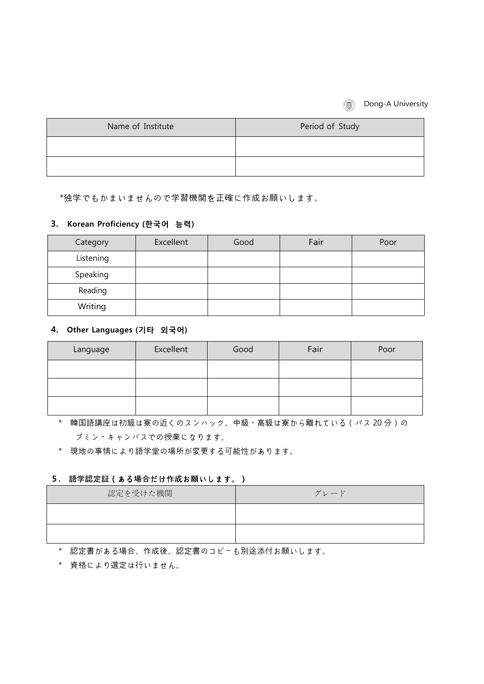#### **Dong-A University**

| Name of Institute | Period of Study |
|-------------------|-----------------|
|                   |                 |
|                   |                 |

\*独学でもかまいませんので学習機関を正確に作成お願いします。

#### **3. Korean Proficiency (한국어 능력)**

| Category  | Excellent | Good | Fair | Poor |
|-----------|-----------|------|------|------|
| Listening |           |      |      |      |
| Speaking  |           |      |      |      |
| Reading   |           |      |      |      |
| Writing   |           |      |      |      |

#### **4. Other Languages (기타 외국어)**

| Language | Excellent | Good | Fair | Poor |
|----------|-----------|------|------|------|
|          |           |      |      |      |
|          |           |      |      |      |
|          |           |      |      |      |

 \* 韓国語講座は初級は寮の近くのスンハック、中級・高級は寮から離れている(バス 20 分)の ブミン・キャンパスでの授業になります。

\* 現地の事情により語学堂の場所が変更する可能性があります。

#### **5. 語学認定証(ある場合だけ作成お願いします。)**

| 認定を受けた機関 | グレード |
|----------|------|
|          |      |
|          |      |

\* 認定書がある場合、作成後、認定書のコピーも別途添付お願いします。

\* 資格により選定は行いません。